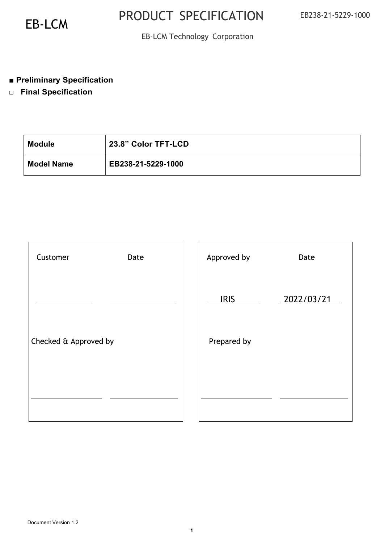### EB-LCM Technology Corporation

### ■ **Preliminary Specification**

□ **Final Specification** 

| <b>Module</b>     | 23.8" Color TFT-LCD |
|-------------------|---------------------|
| <b>Model Name</b> | EB238-21-5229-1000  |

| Customer              | Date | Approved by | Date       |
|-----------------------|------|-------------|------------|
|                       |      | <b>IRIS</b> | 2022/03/21 |
| Checked & Approved by |      | Prepared by |            |
|                       |      |             |            |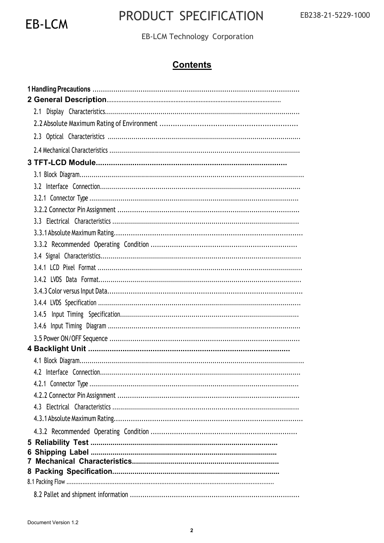

### PRODUCT SPECIFICATION

EB-LCM Technology Corporation

### **Contents**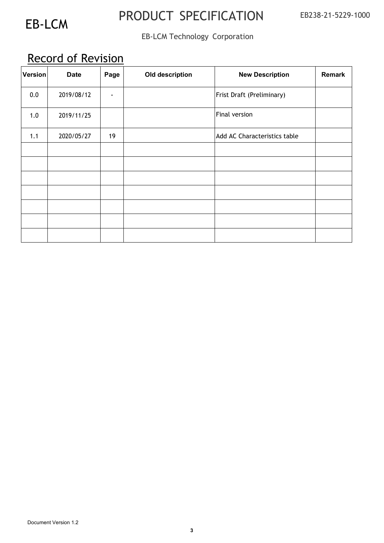### EB-LCM Technology Corporation

### Record of Revision

| <b>Version</b> | <b>Date</b> | Page           | Old description | <b>New Description</b>       | <b>Remark</b> |
|----------------|-------------|----------------|-----------------|------------------------------|---------------|
| 0.0            | 2019/08/12  | $\blacksquare$ |                 | Frist Draft (Preliminary)    |               |
| 1.0            | 2019/11/25  |                |                 | Final version                |               |
| 1.1            | 2020/05/27  | 19             |                 | Add AC Characteristics table |               |
|                |             |                |                 |                              |               |
|                |             |                |                 |                              |               |
|                |             |                |                 |                              |               |
|                |             |                |                 |                              |               |
|                |             |                |                 |                              |               |
|                |             |                |                 |                              |               |
|                |             |                |                 |                              |               |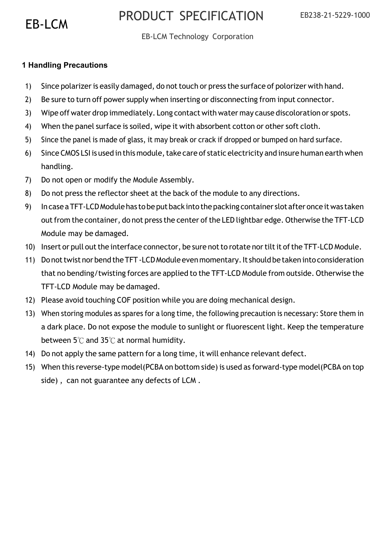### EB-LCM Technology Corporation

### **1 Handling Precautions**

- 1) Since polarizer is easily damaged, do not touch or press the surface of polorizer with hand.
- 2) Be sure to turn off power supply when inserting or disconnecting from input connector.
- 3) Wipe off water drop immediately. Long contact with water may cause discoloration or spots.
- 4) When the panel surface is soiled, wipe it with absorbent cotton or other soft cloth.
- 5) Since the panel is made of glass, it may break or crack if dropped or bumped on hard surface.
- 6) Since CMOS LSI is used in this module, take care of static electricity and insure human earth when handling.
- 7) Do not open or modify the Module Assembly.
- 8) Do not press the reflector sheet at the back of the module to any directions.
- 9) In case a TFT-LCD Module has to be put back into the packing container slot after once it was taken out from the container, do not press the center of the LED lightbar edge. Otherwise the TFT-LCD Module may be damaged.
- 10) Insert or pull out the interface connector, be sure not to rotate nor tilt it of the TFT-LCD Module.
- 11) Do not twist nor bend the TFT -LCD Module even momentary. It should be taken into consideration that no bending/twisting forces are applied to the TFT-LCD Module from outside. Otherwise the TFT-LCD Module may be damaged.
- 12) Please avoid touching COF position while you are doing mechanical design.
- 13) When storing modules as spares for a long time, the following precaution is necessary: Store them in a dark place. Do not expose the module to sunlight or fluorescent light. Keep the temperature between 5℃ and 35℃ at normal humidity.
- 14) Do not apply the same pattern for a long time, it will enhance relevant defect.
- 15) When this reverse-type model(PCBA on bottom side) is used as forward-type model(PCBA on top side) , can not guarantee any defects of LCM .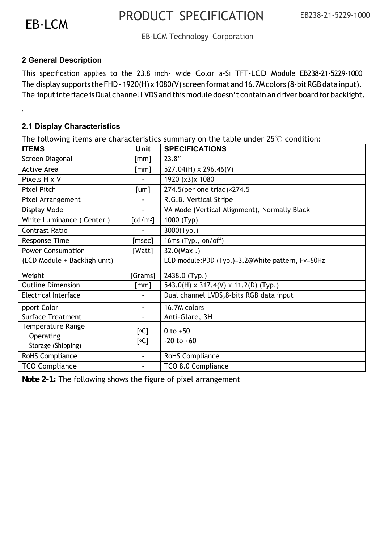.

### PRODUCT SPECIFICATION EB-LCM

### EB-LCM Technology Corporation

### **2 General Description**

This specification applies to the 23.8 inch- wide Color a-Si TFT-LCD Module EB238-21-5229-1000 The display supports the FHD - 1920(H) x 1080(V) screen format and 16.7M colors (8-bit RGB data input). The input interface is Dual channel LVDS and this module doesn't contain an driver board for backlight.

#### **2.1 Display Characteristics**

The following items are characteristics summary on the table under  $25^{\circ}$  condition:

| <b>ITEMS</b>                 | <b>Unit</b>          | <b>SPECIFICATIONS</b>                            |
|------------------------------|----------------------|--------------------------------------------------|
| Screen Diagonal              | [mm]                 | 23.8"                                            |
| <b>Active Area</b>           | [mm]                 | $527.04(H) \times 296.46(V)$                     |
| Pixels H x V                 |                      | 1920 (x3)x 1080                                  |
| <b>Pixel Pitch</b>           | [um]                 | 274.5(per one triad)×274.5                       |
| Pixel Arrangement            |                      | R.G.B. Vertical Stripe                           |
| Display Mode                 | $\blacksquare$       | VA Mode (Vertical Alignment), Normally Black     |
| White Luminance (Center)     | [cd/m <sup>2</sup> ] | 1000 (Typ)                                       |
| <b>Contrast Ratio</b>        |                      | 3000(Typ.)                                       |
| Response Time                | [msec]               | 16ms (Typ., on/off)                              |
| <b>Power Consumption</b>     | [Watt]               | $32.0$ (Max.)                                    |
| (LCD Module + Backligh unit) |                      | LCD module:PDD (Typ.)=3.2@White pattern, Fv=60Hz |
| Weight                       | [Grams]              | 2438.0 (Typ.)                                    |
| <b>Outline Dimension</b>     | [mm]                 | 543.0(H) x 317.4(V) x 11.2(D) (Typ.)             |
| Electrical Interface         |                      | Dual channel LVDS, 8-bits RGB data input         |
| pport Color                  | $\blacksquare$       | 16.7M colors                                     |
| <b>Surface Treatment</b>     | $\blacksquare$       | Anti-Glare, 3H                                   |
| <b>Temperature Range</b>     | [°C]                 | 0 to $+50$                                       |
| Operating                    | [°C]                 | $-20$ to $+60$                                   |
| Storage (Shipping)           |                      |                                                  |
| <b>RoHS Compliance</b>       | $\blacksquare$       | RoHS Compliance                                  |
| <b>TCO Compliance</b>        | $\blacksquare$       | TCO 8.0 Compliance                               |

*Note 2-1:* The following shows the figure of pixel arrangement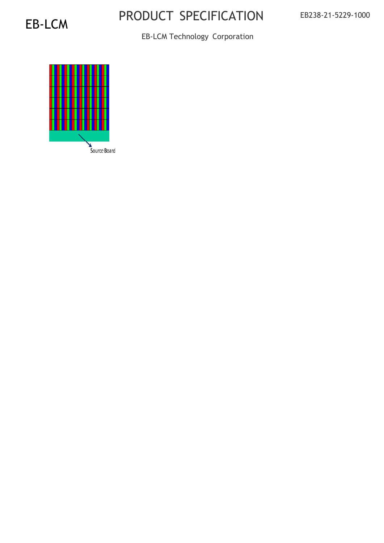EB-LCM Technology Corporation

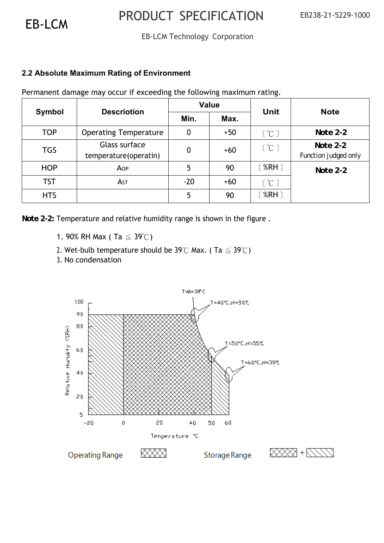### EB-LCM Technology Corporation

### **2.2 Absolute Maximum Rating of Environment**

Permanent damage may occur if exceeding the following maximum rating.

|            | <b>Descriotion</b>                     |       | <b>Value</b> | Unit                      | <b>Note</b>                        |
|------------|----------------------------------------|-------|--------------|---------------------------|------------------------------------|
| Symbol     |                                        | Min.  | Max.         |                           |                                    |
| <b>TOP</b> | <b>Operating Temperature</b>           | 0     | $+50$        | [°C]                      | Note $2-2$                         |
| <b>TGS</b> | Glass surface<br>temperature(operatin) | 0     | $+60$        | [°C]                      | Note $2-2$<br>Function judged only |
| <b>HOP</b> | AOP                                    | 5     | 90           | $^{\circ}$ %RH $^{\circ}$ | Note $2-2$                         |
| <b>TST</b> | As <sub>T</sub>                        | $-20$ | $+60$        | [°C]                      |                                    |
| <b>HTS</b> |                                        | 5     | 90           | $^{\circ}$ %RH $\bar{)}$  |                                    |

*Note 2-2:* Temperature and relative humidity range is shown in the figure .

1. 90% RH Max (Ta  $\leq$  39°C)

- 2. Wet-bulb temperature should be 39°C Max. (Ta  $\leq$  39°C)
- 3. No condensation

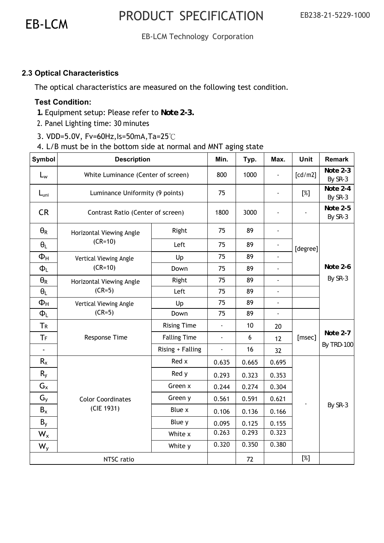### EB-LCM Technology Corporation

### **2.3 Optical Characteristics**

The optical characteristics are measured on the following test condition.

#### **Test Condition:**

- *1.* Equipment setup: Please refer to *Note 2-3.*
- 2. Panel Lighting time: 30 minutes
- 3. VDD=5.0V, Fv=60Hz,Is=50mA,Ta=25℃
- 4. L/B must be in the bottom side at normal and MNT aging state

| <b>Symbol</b>         | <b>Description</b>                 |                     | Min.           | Typ.  | Max.                     | Unit     | <b>Remark</b>       |
|-----------------------|------------------------------------|---------------------|----------------|-------|--------------------------|----------|---------------------|
| $L_{w}$               | White Luminance (Center of screen) |                     | 800            | 1000  |                          | [cd/m2]  | Note 2-3<br>By SR-3 |
| $L_{\text{uni}}$      | Luminance Uniformity (9 points)    |                     | 75             |       | ä,                       | [%]      | Note 2-4<br>By SR-3 |
| <b>CR</b>             | Contrast Ratio (Center of screen)  |                     | 1800           | 3000  |                          |          | Note 2-5<br>By SR-3 |
| $\Theta_{\mathsf{R}}$ | Horizontal Viewing Angle           | Right               | 75             | 89    |                          |          |                     |
| $\theta_L$            | $(CR=10)$                          | Left                | 75             | 89    |                          | [degree] |                     |
| $\Phi_H$              | Vertical Viewing Angle             | Up                  | 75             | 89    |                          |          |                     |
| $\Phi_L$              | $(CR=10)$                          | Down                | 75             | 89    | $\overline{\phantom{a}}$ |          | Note 2-6            |
| $\theta_{R}$          | Horizontal Viewing Angle           | Right               | 75             | 89    | ÷,                       |          | By SR-3             |
| $\theta_L$            | $(CR=5)$                           | Left                | 75             | 89    | ä,                       |          |                     |
| $\Phi_H$              | Vertical Viewing Angle             | Up                  | 75             | 89    | ä,                       |          |                     |
| $\Phi_L$              | $(CR=5)$                           | Down                | 75             | 89    | $\blacksquare$           |          |                     |
| <b>TR</b>             |                                    | <b>Rising Time</b>  | $\blacksquare$ | 10    | 20                       |          |                     |
| TF                    | Response Time                      | <b>Falling Time</b> | $\blacksquare$ | 6     | 12                       | [msec]   | Note 2-7            |
|                       |                                    | Rising + Falling    |                | 16    | 32                       |          | By TRD-100          |
| $R_{x}$               |                                    | Red x               | 0.635          | 0.665 | 0.695                    |          |                     |
| $R_{y}$               |                                    | Red y               | 0.293          | 0.323 | 0.353                    |          |                     |
| $G_{x}$               |                                    | Green x             | 0.244          | 0.274 | 0.304                    |          |                     |
| $G_{V}$               | <b>Color Coordinates</b>           | Green y             | 0.561          | 0.591 | 0.621                    |          |                     |
| $B_x$                 | (CIE 1931)                         | Blue x              | 0.106          | 0.136 | 0.166                    |          | By SR-3             |
| $B_y$                 |                                    | Blue y              | 0.095          | 0.125 | 0.155                    |          |                     |
| $W_{x}$               |                                    | White x             | 0.263          | 0.293 | 0.323                    |          |                     |
| $W_{y}$               |                                    | White y             | 0.320          | 0.350 | 0.380                    |          |                     |
|                       | NTSC ratio                         |                     |                | 72    |                          | [%]      |                     |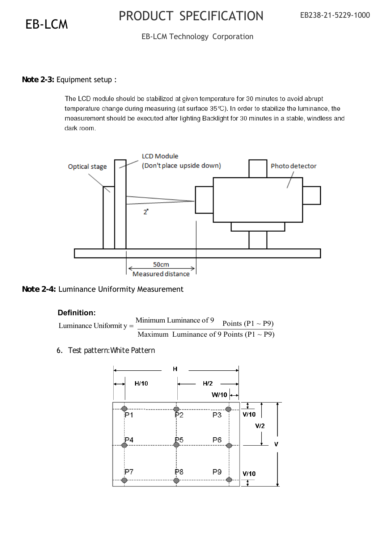### EB-LCM Technology Corporation

#### *Note 2-3:* Equipment setup :

The LCD module should be stabilized at given temperature for 30 minutes to avoid abrupt temperature change during measuring (at surface 35℃). In order to stabilize the luminance, the measurement should be executed after lighting Backlight for 30 minutes in a stable, windless and dark room.



*Note 2-4:* Luminance Uniformity Measurement

#### **Definition:**

Luminance Uniformit  $y =$  Minimum Luminance of 9 Points (P1 ~ P9) Maximum Luminance of 9 Points  $(P1 \sim P9)$ 

6. *Test pattern:White Pattern*

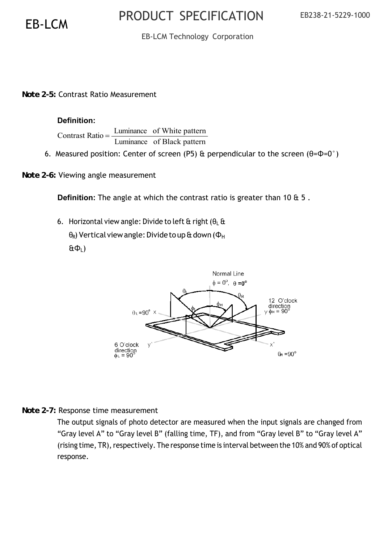### EB-LCM Technology Corporation

*Note 2-5:* Contrast Ratio Measurement

#### **Definition:**

Contrast Ratio =  $\frac{\text{Luminance}}{\frac{1}{2}}$ Luminance of White pattern of Black pattern

6. Measured position: Center of screen (P5) & perpendicular to the screen ( $\theta = \Phi = 0^{\circ}$ )

*Note 2-6:* Viewing angle measurement

**Definition:** The angle at which the contrast ratio is greater than 10 & 5 .

6. Horizontal view angle: Divide to left & right ( $\theta_L$  & θ<sub>R</sub>) Vertical view angle: Divide to up & down (Φ<sub>H</sub>  $EΦ<sub>1</sub>$ )



#### *Note 2-7:* Response time measurement

The output signals of photo detector are measured when the input signals are changed from "Gray level A" to "Gray level B" (falling time, TF), and from "Gray level B" to "Gray level A" (rising time, TR), respectively. The response time is interval between the 10% and 90% of optical response.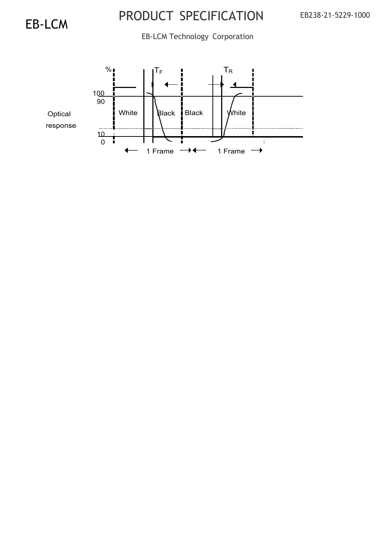EB-LCM Technology Corporation

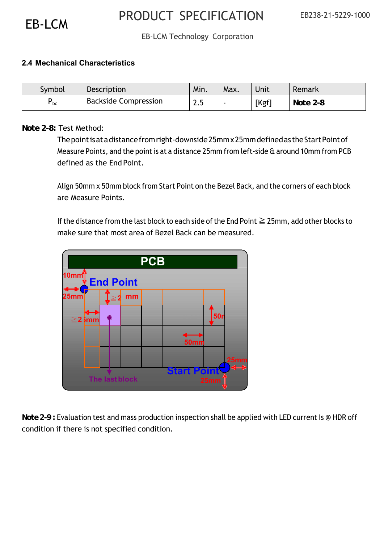### EB-LCM Technology Corporation

| Symbol                        | Description                                                                                                                                                    | Min. | Max. | Unit  | Remark   |
|-------------------------------|----------------------------------------------------------------------------------------------------------------------------------------------------------------|------|------|-------|----------|
| $P_{bc}$                      | <b>Backside Compression</b>                                                                                                                                    | 2.5  |      | [Kgf] | Note 2-8 |
|                               |                                                                                                                                                                |      |      |       |          |
| <i>Note 2-8:</i> Test Method: |                                                                                                                                                                |      |      |       |          |
|                               | The point is at a distance from right-downside 25mm x 25mm defined as the Start Point of                                                                       |      |      |       |          |
|                               | Measure Points, and the point is at a distance 25mm from left-side & around 10mm from PCB                                                                      |      |      |       |          |
|                               | defined as the End Point.                                                                                                                                      |      |      |       |          |
|                               |                                                                                                                                                                |      |      |       |          |
|                               | Align 50mm x 50mm block from Start Point on the Bezel Back, and the corners of each block                                                                      |      |      |       |          |
|                               | are Measure Points.                                                                                                                                            |      |      |       |          |
|                               |                                                                                                                                                                |      |      |       |          |
|                               |                                                                                                                                                                |      |      |       |          |
|                               |                                                                                                                                                                |      |      |       |          |
|                               | If the distance from the last block to each side of the End Point $\geq 25$ mm, add other blocks to<br>make sure that most area of Bezel Back can be measured. |      |      |       |          |

### *Note 2-8:* Test Method:



*Note 2-9 :* Evaluation test and mass production inspection shall be applied with LED current Is @ HDR off condition if there is not specified condition.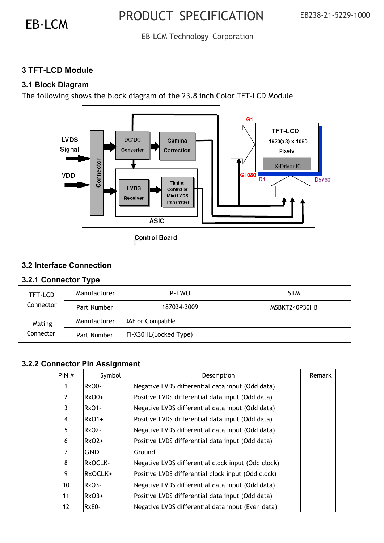### EB-LCM Technology Corporation

### **3 TFT-LCD Module**

### **3.1 Block Diagram**

The following shows the block diagram of the 23.8 inch Color TFT-LCD Module



**Control Board** 

### **3.2 Interface Connection**

### **3.2.1 Connector Type**

| TFT-LCD   | Manufacturer | P-TWO                 | <b>STM</b>    |
|-----------|--------------|-----------------------|---------------|
| Connector | Part Number  | 187034-3009           | MSBKT240P30HB |
| Mating    | Manufacturer | JAE or Compatible     |               |
| Connector | Part Number  | FI-X30HL(Locked Type) |               |

### **3.2.2 Connector Pin Assignment**

| PIN#           | Symbol       | Description                                        | Remark |
|----------------|--------------|----------------------------------------------------|--------|
| 1              | <b>RxO0-</b> | Negative LVDS differential data input (Odd data)   |        |
| $\overline{2}$ | $RxO0+$      | Positive LVDS differential data input (Odd data)   |        |
| 3              | Rx01-        | Negative LVDS differential data input (Odd data)   |        |
| 4              | $RxO1+$      | Positive LVDS differential data input (Odd data)   |        |
| 5.             | Rx02-        | Negative LVDS differential data input (Odd data)   |        |
| 6              | $RxO2+$      | Positive LVDS differential data input (Odd data)   |        |
| 7              | GND          | Ground                                             |        |
| 8              | RxOCLK-      | Negative LVDS differential clock input (Odd clock) |        |
| 9              | RxOCLK+      | Positive LVDS differential clock input (Odd clock) |        |
| 10             | Rx03-        | Negative LVDS differential data input (Odd data)   |        |
| 11             | $RxO3+$      | Positive LVDS differential data input (Odd data)   |        |
| 12             | RxE0-        | Negative LVDS differential data input (Even data)  |        |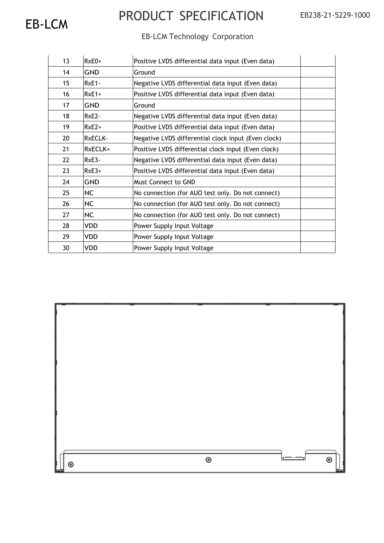### EB-LCM Technology Corporation

| 13 | $RxE0+$    | Positive LVDS differential data input (Even data)   |
|----|------------|-----------------------------------------------------|
| 14 | <b>GND</b> | Ground                                              |
| 15 | $RxE1 -$   | Negative LVDS differential data input (Even data)   |
| 16 | $RxE1+$    | Positive LVDS differential data input (Even data)   |
| 17 | GND        | Ground                                              |
| 18 | $RxE2-$    | Negative LVDS differential data input (Even data)   |
| 19 | $RxE2+$    | Positive LVDS differential data input (Even data)   |
| 20 | RxECLK-    | Negative LVDS differential clock input (Even clock) |
| 21 | RxECLK+    | Positive LVDS differential clock input (Even clock) |
| 22 | RxE3-      | Negative LVDS differential data input (Even data)   |
| 23 | $RxE3+$    | Positive LVDS differential data input (Even data)   |
| 24 | GND        | <b>Must Connect to GND</b>                          |
| 25 | <b>NC</b>  | No connection (for AUO test only. Do not connect)   |
| 26 | <b>NC</b>  | No connection (for AUO test only. Do not connect)   |
| 27 | <b>NC</b>  | No connection (for AUO test only. Do not connect)   |
| 28 | <b>VDD</b> | Power Supply Input Voltage                          |
| 29 | <b>VDD</b> | Power Supply Input Voltage                          |
| 30 | <b>VDD</b> | Power Supply Input Voltage                          |

| $\circledcirc$<br>$\circledcirc$ |
|----------------------------------|
| ◉                                |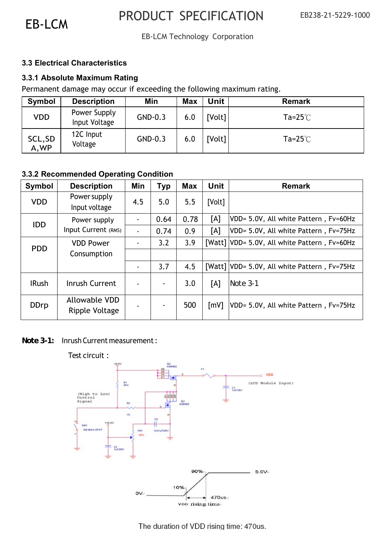### EB-LCM Technology Corporation

#### **3.3 Electrical Characteristics**

### **3.3.1 Absolute Maximum Rating**

Permanent damage may occur if exceeding the following maximum rating.

| Symbol           | <b>Description</b>            | Min     | <b>Max</b> | <b>Unit</b> | <b>Remark</b>      |
|------------------|-------------------------------|---------|------------|-------------|--------------------|
| <b>VDD</b>       | Power Supply<br>Input Voltage | GND-0.3 | 6.0        | [Volt]      | $Ta=25^{\circ}$    |
| SCL, SD<br>A, WP | 12C Input<br>Voltage          | GND-0.3 | 6.0        | [Volt]      | Ta= $25^{\circ}$ C |

### **3.3.2 Recommended Operating Condition**

| Symbol       | <b>Description</b>                     | Min            | <b>Typ</b>     | <b>Max</b> | Unit               | <b>Remark</b>                                |
|--------------|----------------------------------------|----------------|----------------|------------|--------------------|----------------------------------------------|
| <b>VDD</b>   | <b>Power supply</b><br>Input voltage   | 4.5            | 5.0            | 5.5        | [Volt]             |                                              |
| <b>IDD</b>   | Power supply                           |                | 0.64           | 0.78       | [A]                | VDD= 5.0V, All white Pattern, Fv=60Hz        |
|              | Input Current (RMS)                    |                | 0.74           | 0.9        | [A]                | VDD= 5.0V, All white Pattern, Fv=75Hz        |
| <b>PDD</b>   | <b>VDD Power</b>                       |                | 3.2            | 3.9        |                    | [Watt] VDD= 5.0V, All white Pattern, Fv=60Hz |
|              | Consumption                            |                |                |            |                    |                                              |
|              |                                        | $\blacksquare$ | 3.7            | 4.5        |                    | [Watt] VDD= 5.0V, All white Pattern, Fv=75Hz |
| <b>IRush</b> | Inrush Current                         |                | $\blacksquare$ | 3.0        | [A]                | Note 3-1                                     |
| <b>DDrp</b>  | <b>Allowable VDD</b><br>Ripple Voltage |                |                | 500        | $\lceil mV \rceil$ | VDD= 5.0V, All white Pattern, Fv=75Hz        |

*Note 3-1:* Inrush Current measurement :

#### Test circuit :92  $\rightarrow$  VDD 計 (LCD Module Input)  $=$   $21$ (High to Low)<br>Control Signal  $\mathbb{R}^2$ SW MAG-SPST VR1  $0.01$ 478 90%  $5.0V_{+}$ 10%  $OV$  $470us$ von rising time-

The duration of VDD rising time: 470us.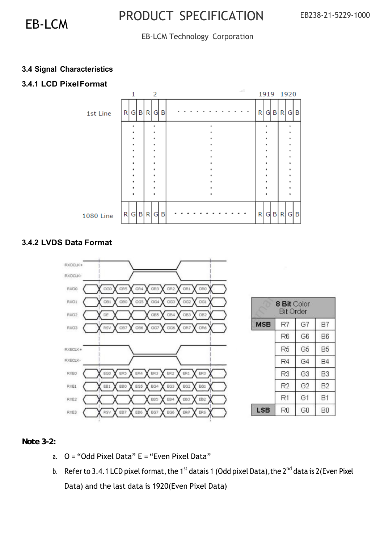### EB-LCM Technology Corporation

### **3.4 Signal Characteristics**

### **3.4.1 LCD Pixel Format**



### **3.4.2 LVDS Data Format**



### *Note 3-2:*

- a.  $Q = "Odd~Pixel~Data" E = "Even~Pixel~Data"$
- b. Refer to 3.4.1 LCD pixel format, the 1<sup>st</sup> datais 1 (Odd pixel Data), the 2<sup>nd</sup> data is 2(Even Pixel Data) and the last data is 1920(Even Pixel Data)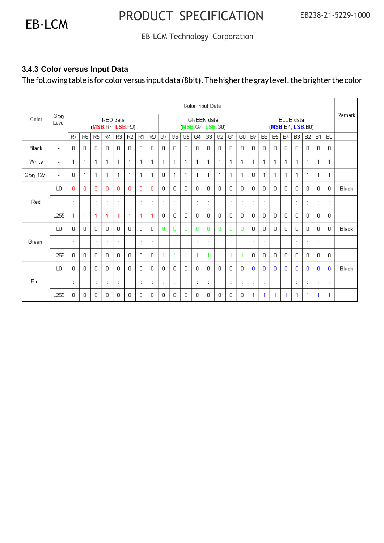### EB-LCM Technology Corporation

### **3.4.3 Color versus Input Data**

The following table is for color versus input data (8bit). The higher the gray level, the brighter the color

|          |                          |                              |                                        |                |                |                                |                                        |                      |                |                                      |                      |             | Color Input Data     |              |                      |              |                       |                      |               |              |                |                |                      |                |                      |       |
|----------|--------------------------|------------------------------|----------------------------------------|----------------|----------------|--------------------------------|----------------------------------------|----------------------|----------------|--------------------------------------|----------------------|-------------|----------------------|--------------|----------------------|--------------|-----------------------|----------------------|---------------|--------------|----------------|----------------|----------------------|----------------|----------------------|-------|
| Color    | Gray<br>Level            | RED data<br>(MSB:R7, LSB:R0) |                                        |                |                | GREEN data<br>(MSB:G7, LSB:G0) |                                        |                      |                | <b>BLUE</b> data<br>(MSB:B7, LSB:B0) |                      |             |                      |              | Remark               |              |                       |                      |               |              |                |                |                      |                |                      |       |
|          |                          | R7                           | R <sub>6</sub>                         | R <sub>5</sub> | R4             | R3                             | R <sub>2</sub>                         | R1                   | R <sub>0</sub> | G7                                   | G <sub>6</sub>       | G5          | G4                   | G3           | G <sub>2</sub>       | G1           | G <sub>0</sub>        | B7                   | <b>B6</b>     | <b>B5</b>    | <b>B4</b>      | B <sub>3</sub> | B2                   | <b>B1</b>      | B <sub>0</sub>       |       |
| Black    | $\overline{\phantom{a}}$ | 0                            | $\overline{0}$                         | 0              | 0              | 0                              | $\mathbf{0}$                           | 0                    | $\overline{0}$ | $\Omega$                             | $\Box$               | 0           | $\Box$               | 0            | $\Box$               | 0            | $\Box$                | 0                    | 0             | $\mathbf{0}$ | 0              | 0              | 0                    | 0              | $\overline{0}$       |       |
| White    | $\overline{\phantom{a}}$ | 1                            | $\mathbf{1}$                           | $\mathbf 1$    | 1              | $\mathbf{1}$                   | 1                                      | 1                    | 1              | 1                                    | $\mathbf{1}$         | 1           | 1                    | $\mathbf{1}$ | 1                    | $\mathbf{1}$ | 1                     | 1                    | 1             | 1            | 1              | 1              | 1                    | 1              | 1                    |       |
| Gray 127 | $\overline{\phantom{a}}$ | 0                            | 1                                      | 1              | 1              | -1                             | 1                                      | $\mathbf{1}$         | 1              | $\mathbf 0$                          | 1                    | 1           | 1                    | 1            | 1                    | $\mathbf{1}$ | 1                     | $\mathbf{0}$         | 1             | 1            | 1              | 1              | 1                    | 1              | 1                    |       |
|          | LO.                      | 0                            | 0                                      | 0              | 0              | 0                              | $\overline{0}$                         | O                    | $\Omega$       | $\Omega$                             | $\Box$               | 0           | $\Box$               | 0            | $\Box$               | 0            | $\Box$                | 0                    | 0             | 0            | 0.             | 0              | 0                    | $\overline{0}$ | $\overline{0}$       | Black |
| Red      | $\cdot$                  | ×<br>÷                       | ÷                                      | ×              | ÷              |                                | t                                      |                      | t              | $\cdot$                              | $\ddot{\phantom{a}}$ | ÷           | $\ddot{\phantom{a}}$ | ÷            | $\ddot{\phantom{a}}$ | ÷            | $\ddot{\phantom{a}}$  | ÷                    | $\cdot$<br>i, | ÷            | J.             | ÷              |                      | ÷              | $\ddot{\phantom{a}}$ |       |
|          | L <sub>255</sub>         | 1                            | 1                                      | 1              | 1              | 1                              | 1                                      | 1                    | 1              | 0                                    | $\mathbf{0}$         | $\mathbf 0$ | $\Box$               | 0            | $\mathbf{0}$         | 0            | $\Box$                | 0                    | 0             | $\mathbf{0}$ | 0              | 0              | 0                    | 0              | 0                    |       |
|          | LO.                      | 0                            | $\mathbf{0}$                           | 0              | 0              | 0                              | 0                                      | 0                    | $\Box$         | $\mathbf 0$                          | $\mathbf{0}$         | o           | 0                    | 0            | $\mathbf{0}$         | o            | $\Omega$              | 0                    | 0             | $\mathbf 0$  | 0              | $\overline{0}$ | 0                    | 0              | $\overline{0}$       | Black |
| Green    | ÷                        | $\ddot{\phantom{a}}$         | ÷                                      | t              | ÷              | $\ddot{\phantom{a}}$           | ÷                                      | $\ddot{\phantom{a}}$ | ÷              |                                      | ÷                    | $\sim$      | ÷                    | ÷.           | ÷                    | ÷            | ÷                     | $\ddot{\phantom{a}}$ | t             | ÷            | $\ddot{\cdot}$ | $\ddot{\cdot}$ | $\ddot{\phantom{a}}$ | ÷              | ÷                    |       |
|          | L <sub>255</sub>         | 0                            | 0                                      | $\Omega$       | 0              | $\Omega$                       | $\begin{array}{c} \square \end{array}$ | $\Omega$             | $\Omega$       | 1                                    | 1                    | 1           | 1                    | 1            | 1                    | 1            | 4                     | 0                    | 0             | 0            | 0              | 0              | 0                    | 0              | $\Box$               |       |
|          | LO.                      | 0                            | $\begin{array}{c} \square \end{array}$ | 0              | 0              | 0                              | 0                                      | 0                    | $\Box$         | $\Omega$                             | $\Box$               | 0           | $\Box$               | 0            | $\Box$               | 0            | $\Omega$              | $\Omega$             | 0             | $\mathbf{0}$ | $\Omega$       | $\Omega$       | $\Omega$             | 0              | 0                    | Black |
| Blue     | ٠                        | ٠<br>$\cdot$                 | ÷                                      | ٠              | $\ddot{\cdot}$ | ٠                              | ÷                                      | ٠                    | $\ddot{\cdot}$ | ٠                                    | $\ddot{\phantom{a}}$ | ٠           | ÷                    | ٠            | $\ddot{\cdot}$       | $\cdot$      | $\cdot$<br>$\epsilon$ | $\cdot$              |               | ÷            | ٠              | ×<br>ä,        |                      | ٠              | ÷                    |       |
|          | L <sub>255</sub>         | 0                            | 0                                      | 0              | 0              | 0                              | 0                                      | 0                    | 0              | 0                                    | 0                    | 0           | 0                    | 0            | 0                    | 0            | 0                     | 1                    | 1             | 1            | 1              | 1              | 1                    | 1.             | 1                    |       |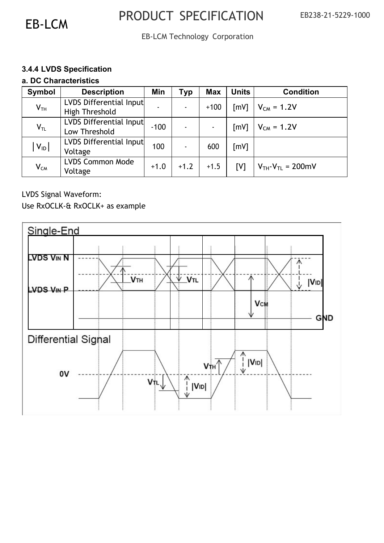EB-LCM Technology Corporation

### **3.4.4 LVDS Specification**

#### **a. DC Characteristics**

| Symbol          | <b>Description</b>                        | Min    | Тур    | <b>Max</b> | <b>Units</b>       | <b>Condition</b>         |
|-----------------|-------------------------------------------|--------|--------|------------|--------------------|--------------------------|
| V <sub>TH</sub> | LVDS Differential Input<br>High Threshold |        |        | $+100$     | $\lceil mV \rceil$ | $V_{CM} = 1.2V$          |
| $V_{TL}$        | LVDS Differential Input<br>Low Threshold  | $-100$ |        |            | $\lceil mV \rceil$ | $V_{CM} = 1.2V$          |
| $ V_{ID} $      | LVDS Differential Input<br>Voltage        | 100    |        | 600        | [mV]               |                          |
| $V_{CM}$        | <b>LVDS Common Mode</b><br>Voltage        | $+1.0$ | $+1.2$ | $+1.5$     | [V]                | $V_{TH}-V_{TL} = 200$ mV |

LVDS Signal Waveform:

Use RxOCLK-& RxOCLK+ as example

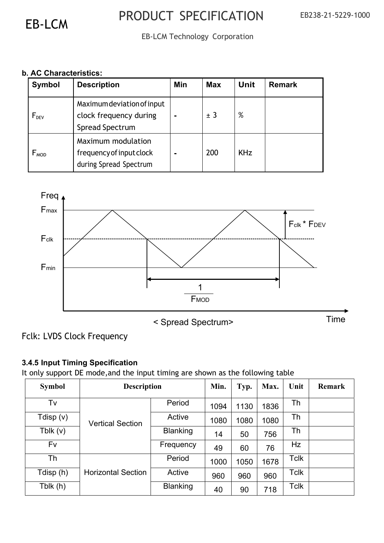EB-LCM Technology Corporation

### **b. AC Characteristics:**

| Symbol                      | <b>Description</b>                                                       | Min | <b>Max</b> | Unit       | <b>Remark</b> |
|-----------------------------|--------------------------------------------------------------------------|-----|------------|------------|---------------|
| $F_{DEV}$                   | Maximum deviation of input<br>clock frequency during<br>Spread Spectrum  |     | ± 3        | %          |               |
| $\mathsf{F}_{\mathsf{MOD}}$ | Maximum modulation<br>frequency of input clock<br>during Spread Spectrum |     | 200        | <b>KHz</b> |               |



< Spread Spectrum> Time

### Fclk: LVDS Clock Frequency

### **3.4.5 Input Timing Specification**

It only support DE mode,and the input timing are shown as the following table

| <b>Symbol</b> | <b>Description</b>        | Min.            | Typ. | Max. | Unit | <b>Remark</b> |  |
|---------------|---------------------------|-----------------|------|------|------|---------------|--|
| Tv            |                           | Period          | 1094 | 1130 | 1836 | Th            |  |
| Tdisp (v)     | <b>Vertical Section</b>   | Active          | 1080 | 1080 | 1080 | Th            |  |
| Tblk $(v)$    |                           | <b>Blanking</b> | 14   | 50   | 756  | Th            |  |
| Fv            |                           | Frequency       | 49   | 60   | 76   | Hz            |  |
| Th            |                           | Period          | 1000 | 1050 | 1678 | Tclk          |  |
| Tdisp (h)     | <b>Horizontal Section</b> | Active          | 960  | 960  | 960  | Tclk          |  |
| Tblk (h)      |                           | <b>Blanking</b> | 40   | 90   | 718  | Tclk          |  |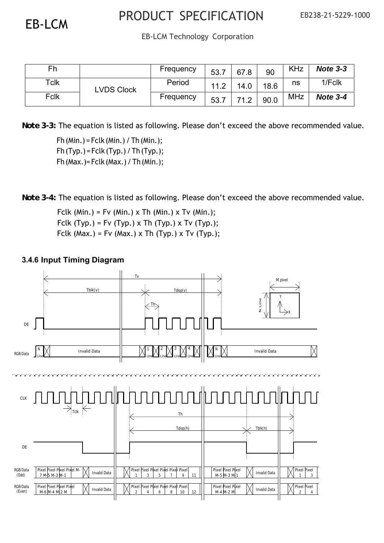EB-LCM Technology Corporation

| Fh   |                   | Frequency | 53.7 | 67.8 | 90   | <b>KHz</b> | Note $3-3$ |
|------|-------------------|-----------|------|------|------|------------|------------|
| Tclk | <b>LVDS Clock</b> | Period    | 11.2 | 14.0 | 18.6 | ns         | 1/Fclk     |
| Fclk |                   | Frequency | 53.7 | 71 2 | 90.0 | <b>MHz</b> | Note 3-4   |

*Note 3-3:* The equation is listed as following. Please don't exceed the above recommended value.

Fh (Min.) = Fclk (Min.) / Th (Min.);  $Fh(Typ.) = Fclk(Typ.) / Th(Typ.);$ Fh (Max.)= Fclk (Max.) / Th (Min.);

*Note 3-4:* The equation is listed as following. Please don't exceed the above recommended value.

Fclk (Min.) = Fv (Min.) x Th (Min.) x Tv (Min.); Fclk (Typ.) = Fv (Typ.) x Th (Typ.) x Tv (Typ.); Fclk (Max.) = Fv (Max.) x Th (Typ.) x Tv (Typ.);

### **3.4.6 Input Timing Diagram**

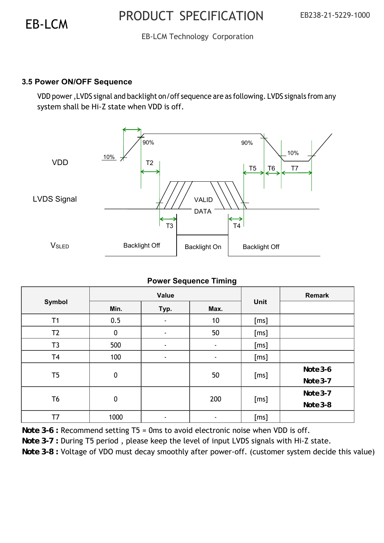### EB-LCM Technology Corporation

### **3.5 Power ON/OFF Sequence**

VDD power ,LVDS signal and backlight on/off sequence are as following. LVDS signals from any system shall be Hi-Z state when VDD is off.



### **Power Sequence Timing**

|                |             | Value          |        | Remark |                          |
|----------------|-------------|----------------|--------|--------|--------------------------|
| Symbol         | Min.        | Typ.           | Max.   | Unit   |                          |
| T1             | 0.5         | ٠              | 10     | [ms]   |                          |
| T <sub>2</sub> | 0           | $\blacksquare$ | 50     | [ms]   |                          |
| T3             | 500         | $\blacksquare$ | $\sim$ | [ms]   |                          |
| T <sub>4</sub> | 100         | $\blacksquare$ | $\sim$ | [ms]   |                          |
| T <sub>5</sub> | $\mathbf 0$ |                | 50     | [ms]   | $Note 3-6$<br>$Note 3-7$ |
| T <sub>6</sub> | $\mathbf 0$ |                | 200    | [ms]   | $Note 3-7$<br>Note 3-8   |
| T7             | 1000        | $\blacksquare$ | ۰      | [ms]   |                          |

*Note 3-6 :* Recommend setting T5 = 0ms to avoid electronic noise when VDD is off.

*Note 3-7 : During T5 period, please keep the level of input LVDS signals with Hi-Z state.* 

*Note 3-8 : Voltage of VDO must decay smoothly after power-off. (customer system decide this value)*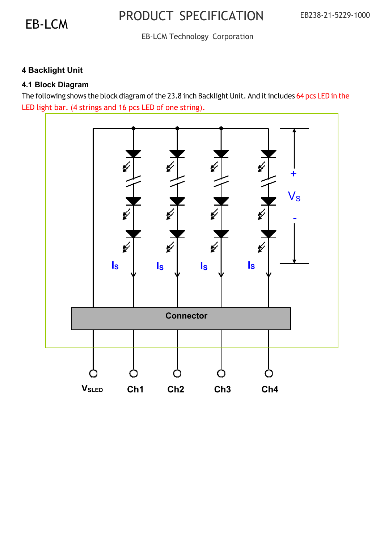### EB-LCM Technology Corporation

### **4 Backlight Unit**

### **4.1 Block Diagram**

The following shows the block diagram of the 23.8 inch Backlight Unit. And it includes 64 pcs LED in the LED light bar. (4 strings and 16 pcs LED of one string).

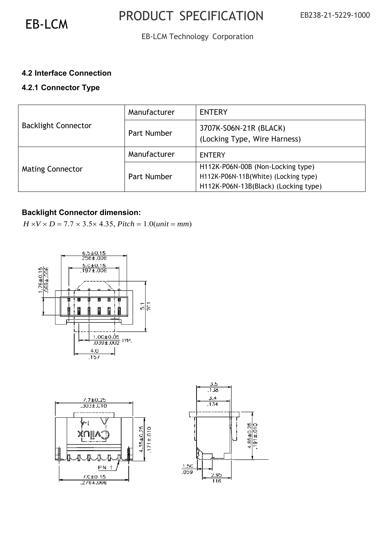### EB-LCM Technology Corporation

### **4.2 Interface Connection**

### **4.2.1 Connector Type**

|                            | Manufacturer | <b>ENTERY</b>                                                                                                     |
|----------------------------|--------------|-------------------------------------------------------------------------------------------------------------------|
| <b>Backlight Connector</b> | Part Number  | 3707K-S06N-21R (BLACK)<br>(Locking Type, Wire Harness)                                                            |
|                            | Manufacturer | <b>ENTERY</b>                                                                                                     |
| <b>Mating Connector</b>    | Part Number  | H112K-P06N-00B (Non-Locking type)<br>H112K-P06N-11B(White) (Locking type)<br>H112K-P06N-13B(Black) (Locking type) |

### **Backlight Connector dimension:**

 $H \times V \times D = 7.7 \times 3.5 \times 4.35$ , *Pitch* = 1.0(*unit* = *mm*)





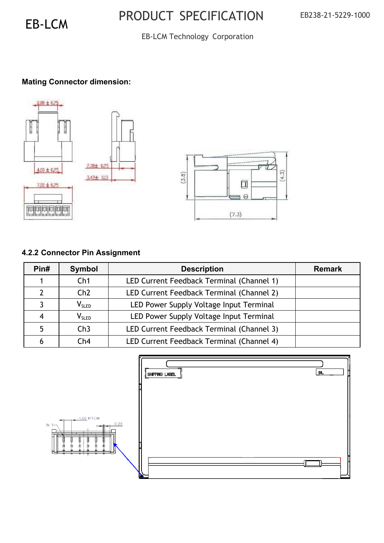### EB-LCM Technology Corporation

### **Mating Connector dimension:**



### **4.2.2 Connector Pin Assignment**

| Pin# | Symbol                       | <b>Description</b>                        | <b>Remark</b> |
|------|------------------------------|-------------------------------------------|---------------|
|      | Ch1                          | LED Current Feedback Terminal (Channel 1) |               |
|      | Ch2                          | LED Current Feedback Terminal (Channel 2) |               |
|      | $V_{SLED}$                   | LED Power Supply Voltage Input Terminal   |               |
|      | $\mathsf{V}_{\mathsf{SLED}}$ | LED Power Supply Voltage Input Terminal   |               |
|      | Ch3                          | LED Current Feedback Terminal (Channel 3) |               |
|      | Ch4                          | LED Current Feedback Terminal (Channel 4) |               |

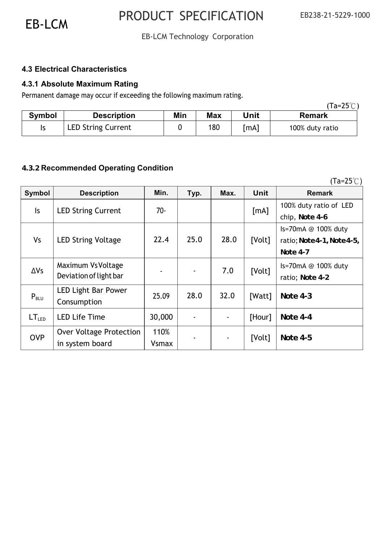(Ta=25℃)

### EB-LCM Technology Corporation

### **4.3 Electrical Characteristics**

### **4.3.1 Absolute Maximum Rating**

Permanent damage may occur if exceeding the following maximum rating.

|               |                           |     |            |      | (Ta=25 $\degree$ C) |
|---------------|---------------------------|-----|------------|------|---------------------|
| <b>Symbol</b> | <b>Description</b>        | Min | <b>Max</b> | Unit | <b>Remark</b>       |
|               | <b>LED String Current</b> |     | 180        | [mA] | 100% duty ratio     |

### **4.3.2 Recommended Operating Condition**

| Symbol            | <b>Description</b>        | Min.         | Typ. | Max. | <b>Unit</b> | <b>Remark</b>              |
|-------------------|---------------------------|--------------|------|------|-------------|----------------------------|
| $\mathsf{ls}$     | <b>LED String Current</b> | $70 -$       |      |      | [mA]        | 100% duty ratio of LED     |
|                   |                           |              |      |      |             | chip, Note 4-6             |
|                   |                           |              |      |      |             | Is=70mA @ 100% duty        |
| <b>Vs</b>         | <b>LED String Voltage</b> | 22.4         | 25.0 | 28.0 | [Volt]      | ratio; Note 4-1, Note 4-5, |
|                   |                           |              |      |      |             | Note 4-7                   |
| $\Delta V$ s      | Maximum Vs Voltage        |              |      | 7.0  |             | Is=70mA @ 100% duty        |
|                   | Deviation of light bar    |              |      |      | [Volt]      | ratio; Note 4-2            |
|                   | LED Light Bar Power       | 25.09        | 28.0 | 32.0 |             |                            |
| $P_{BLU}$         | Consumption               |              |      |      | [Watt]      | <b>Note 4-3</b>            |
| LT <sub>LED</sub> | <b>LED Life Time</b>      | 30,000       |      |      | [Hour]      | Note 4-4                   |
|                   |                           |              |      |      |             |                            |
| <b>OVP</b>        | Over Voltage Protection   | 110%         |      |      | [Volt]      | <b>Note 4-5</b>            |
|                   | in system board           | <b>Vsmax</b> |      |      |             |                            |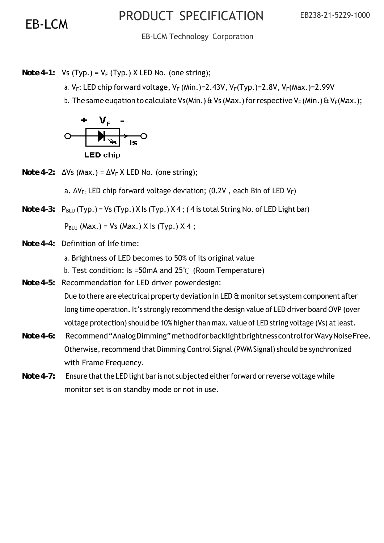EB-LCM Technology Corporation

*Note 4-1:* Vs (Typ.) =  $V_F$  (Typ.) X LED No. (one string);

- a.  $V_F$ : LED chip forward voltage,  $V_F$  (Min.)=2.43V,  $V_F(Typ.)$ =2.8V,  $V_F(Max.)$ =2.99V
- b. The same eugation to calculate Vs(Min.) & Vs (Max.) for respective V<sub>F</sub> (Min.) & V<sub>F</sub>(Max.);



*Note 4-2:*  $\Delta Vs$  (Max.) =  $\Delta V_F$  X LED No. (one string);

a.  $\Delta V_F$ : LED chip forward voltage deviation; (0.2V, each Bin of LED  $V_F$ )

*Note 4-3:*  $P_{BLU}$  (Typ.) = Vs (Typ.) X Is (Typ.) X 4; (4 is total String No. of LED Light bar)

 $P_{BLU}$  (Max.) = Vs (Max.) X ls (Typ.) X 4;

- *Note 4-4:* Definition of life time:
	- a. Brightness of LED becomes to 50% of its original value
	- b. Test condition: Is =50mA and 25℃ (Room Temperature)
- *Note 4-5:* Recommendation for LED driver power design: Due to there are electrical property deviation in LED & monitor set system component after long time operation. It's strongly recommend the design value of LED driver board OVP (over voltage protection) should be 10% higher than max. value of LED string voltage (Vs) at least.
- *Note 4-6:* Recommend "Analog Dimming" method for backlight brightness control for Wavy Noise Free. Otherwise, recommend that Dimming Control Signal (PWM Signal) should be synchronized with Frame Frequency.
- *Note 4-7:* Ensure that the LED light bar is not subjected either forward or reverse voltage while monitor set is on standby mode or not in use.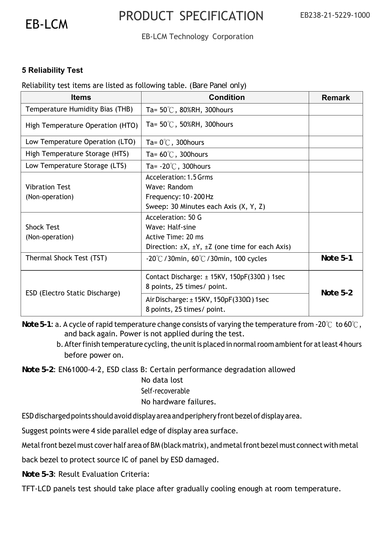

### EB-LCM Technology Corporation

### **5 Reliability Test**

#### Reliability test items are listed as following table. (*Bare Panel only*)

| <b>Items</b>                     | <b>Condition</b>                                                                       | <b>Remark</b> |  |
|----------------------------------|----------------------------------------------------------------------------------------|---------------|--|
| Temperature Humidity Bias (THB)  | Ta= $50^{\circ}$ C, 80%RH, 300 hours                                                   |               |  |
| High Temperature Operation (HTO) | Ta= $50^{\circ}$ C, 50%RH, 300 hours                                                   |               |  |
| Low Temperature Operation (LTO)  | Ta= $0^{\circ}$ C, 300 hours                                                           |               |  |
| High Temperature Storage (HTS)   | Ta= $60^{\circ}$ C, 300 hours                                                          |               |  |
| Low Temperature Storage (LTS)    | Ta= $-20^{\circ}$ C, 300 hours                                                         |               |  |
|                                  | Acceleration: 1.5 Grms                                                                 |               |  |
| <b>Vibration Test</b>            | Wave: Random                                                                           |               |  |
| (Non-operation)                  | Frequency: 10 - 200 Hz                                                                 |               |  |
|                                  | Sweep: 30 Minutes each Axis (X, Y, Z)                                                  |               |  |
|                                  | Acceleration: 50 G                                                                     |               |  |
| <b>Shock Test</b>                | Wave: Half-sine                                                                        |               |  |
| (Non-operation)                  | Active Time: 20 ms                                                                     |               |  |
|                                  | Direction: $\pm X$ , $\pm Y$ , $\pm Z$ (one time for each Axis)                        |               |  |
| Thermal Shock Test (TST)         | $-20^{\circ}$ C / 30min, 60 $\circ$ C / 30min, 100 cycles                              | Note 5-1      |  |
|                                  | Contact Discharge: $\pm$ 15KV, 150pF(330 $\Omega$ ) 1sec<br>8 points, 25 times/ point. | Note $5-2$    |  |
| ESD (Electro Static Discharge)   | Air Discharge: $\pm$ 15KV, 150pF(330 $\Omega$ ) 1sec<br>8 points, 25 times/ point.     |               |  |

*Note 5-1*: a. A cycle of rapid temperature change consists of varying the temperature from -20℃ to 60℃, and back again. Power is not applied during the test.

b. After finish temperature cycling, the unit is placed in normal room ambient for at least 4 hours before power on.

*Note 5-2*: EN61000-4-2, ESD class B: Certain performance degradation allowed

No data lost Self-recoverable No hardware failures.

ESD discharged points should avoid display area and periphery front bezel of display area.

Suggest points were 4 side parallel edge of display area surface.

Metal front bezel must cover half area of BM (black matrix), and metal front bezel must connect with metal

back bezel to protect source IC of panel by ESD damaged.

*Note 5-3*: Result Evaluation Criteria:

TFT-LCD panels test should take place after gradually cooling enough at room temperature.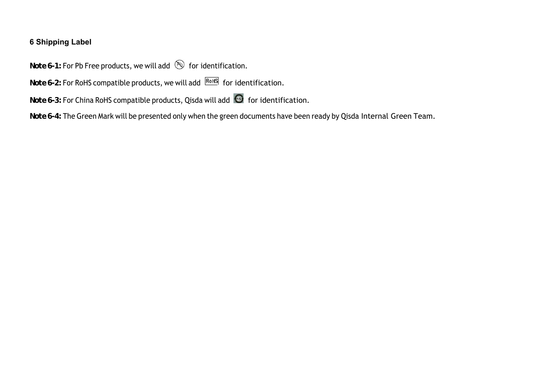### **6 Shipping Label**

*Note 6-1:* For Pb Free products, we will add **solut** for identification.

*Note 6-2:* For RoHS compatible products, we will add **ROHS** for identification.

*Note 6-3:* For China RoHS compatible products, Qisda will add **6** for identification.

*Note 6-4:* The Green Mark will be presented only when the green documents have been ready by Qisda Internal Green Team.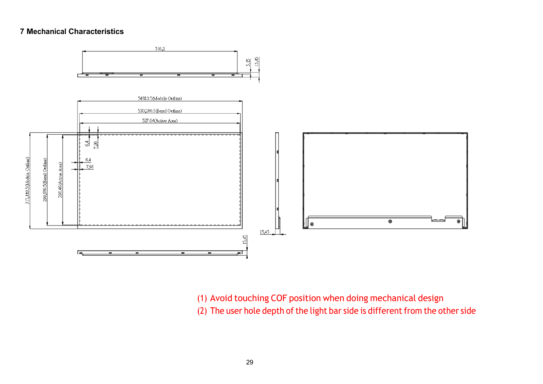#### **7 Mechanical Characteristics**



(1) Avoid touching COF position when doing mechanical design (2) The user hole depth of the light bar side is different from the other side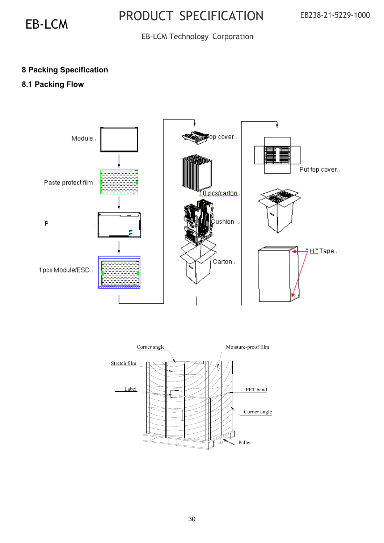### EB-LCM Technology Corporation

### **8 Packing Specification**

### **8.1 Packing Flow**